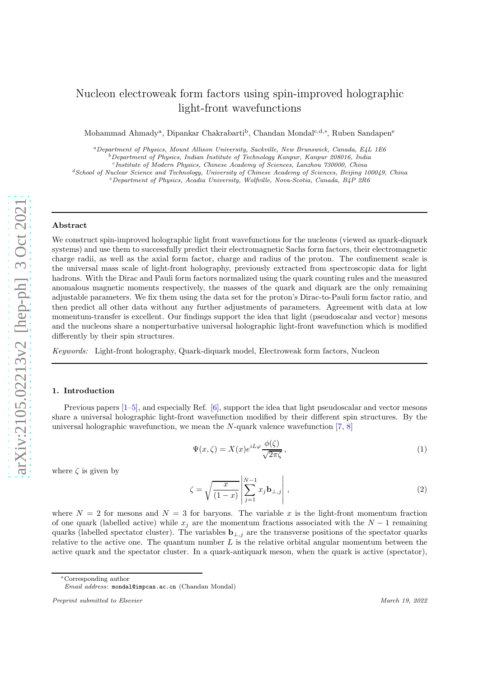# <span id="page-0-0"></span>Nucleon electroweak form factors using spin-improved holographic light-front wavefunctions

Mohammad Ahmady<sup>a</sup>, Dipankar Chakrabarti<sup>b</sup>, Chandan Mondal<sup>c,d,∗</sup>, Ruben Sandapen<sup>e</sup>

<sup>a</sup>*Department of Physics, Mount Allison University, Sackville, New Brunswick, Canada, E4L 1E6*

<sup>b</sup>*Department of Physics, Indian Institute of Technology Kanpur, Kanpur 208016, India*

c *Institute of Modern Physics, Chinese Academy of Sciences, Lanzhou 730000, China*

<sup>d</sup>*School of Nuclear Science and Technology, University of Chinese Academy of Sciences, Beijing 100049, China*

<sup>e</sup>*Department of Physics, Acadia University, Wolfville, Nova-Scotia, Canada, B4P 2R6*

#### Abstract

We construct spin-improved holographic light front wavefunctions for the nucleons (viewed as quark-diquark systems) and use them to successfully predict their electromagnetic Sachs form factors, their electromagnetic charge radii, as well as the axial form factor, charge and radius of the proton. The confinement scale is the universal mass scale of light-front holography, previously extracted from spectroscopic data for light hadrons. With the Dirac and Pauli form factors normalized using the quark counting rules and the measured anomalous magnetic moments respectively, the masses of the quark and diquark are the only remaining adjustable parameters. We fix them using the data set for the proton's Dirac-to-Pauli form factor ratio, and then predict all other data without any further adjustments of parameters. Agreement with data at low momentum-transfer is excellent. Our findings support the idea that light (pseudoscalar and vector) mesons and the nucleons share a nonperturbative universal holographic light-front wavefunction which is modified differently by their spin structures.

Keywords: Light-front holography, Quark-diquark model, Electroweak form factors, Nucleon

#### 1. Introduction

Previous papers [\[1–5\]](#page-12-0), and especially Ref. [\[6\]](#page-12-0), support the idea that light pseudoscalar and vector mesons share a universal holographic light-front wavefunction modified by their different spin structures. By the universal holographic wavefunction, we mean the  $N$ -quark valence wavefunction  $[7, 8]$  $[7, 8]$ 

$$
\Psi(x,\zeta) = X(x)e^{iL\varphi}\frac{\phi(\zeta)}{\sqrt{2\pi\zeta}},\tag{1}
$$

where  $\zeta$  is given by

$$
\zeta = \sqrt{\frac{x}{(1-x)}} \left| \sum_{j=1}^{N-1} x_j \mathbf{b}_{\perp,j} \right| , \qquad (2)
$$

where  $N = 2$  for mesons and  $N = 3$  for baryons. The variable x is the light-front momentum fraction of one quark (labelled active) while  $x_j$  are the momentum fractions associated with the  $N-1$  remaining quarks (labelled spectator cluster). The variables  $\mathbf{b}_{\perp,j}$  are the transverse positions of the spectator quarks relative to the active one. The quantum number  $L$  is the relative orbital angular momentum between the active quark and the spectator cluster. In a quark-antiquark meson, when the quark is active (spectator),

<sup>∗</sup>Corresponding author

*Email address:* mondal@impcas.ac.cn (Chandan Mondal)

*Preprint submitted to Elsevier March 19, 2022*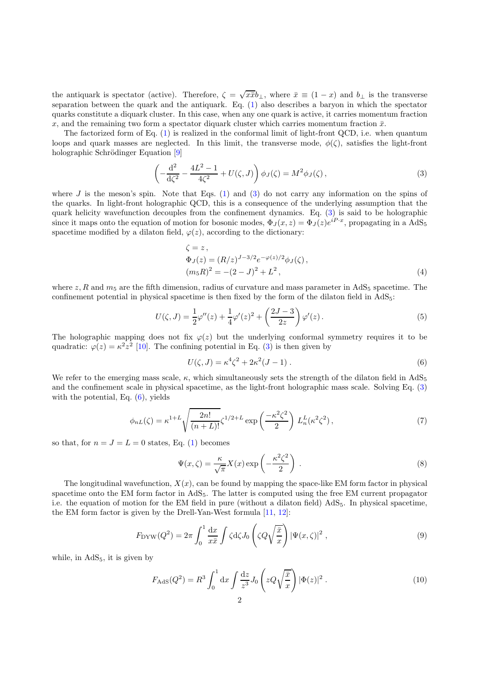<span id="page-1-0"></span>the antiquark is spectator (active). Therefore,  $\zeta = \sqrt{x}\bar{x}b_{\perp}$ , where  $\bar{x} \equiv (1-x)$  and  $b_{\perp}$  is the transverse separation between the quark and the antiquark. Eq. [\(1\)](#page-0-0) also describes a baryon in which the spectator quarks constitute a diquark cluster. In this case, when any one quark is active, it carries momentum fraction x, and the remaining two form a spectator diquark cluster which carries momentum fraction  $\bar{x}$ .

The factorized form of Eq. [\(1\)](#page-0-0) is realized in the conformal limit of light-front QCD, i.e. when quantum loops and quark masses are neglected. In this limit, the transverse mode,  $\phi(\zeta)$ , satisfies the light-front holographic Schrödinger Equation [\[9\]](#page-12-0)

$$
\left(-\frac{d^2}{d\zeta^2} - \frac{4L^2 - 1}{4\zeta^2} + U(\zeta, J)\right)\phi_J(\zeta) = M^2 \phi_J(\zeta),\tag{3}
$$

where J is the meson's spin. Note that Eqs.  $(1)$  and  $(3)$  do not carry any information on the spins of the quarks. In light-front holographic QCD, this is a consequence of the underlying assumption that the quark helicity wavefunction decouples from the confinement dynamics. Eq. (3) is said to be holographic since it maps onto the equation of motion for bosonic modes,  $\Phi_J(x, z) = \Phi_J(z)e^{iP \cdot x}$ , propagating in a AdS<sub>5</sub> spacetime modified by a dilaton field,  $\varphi(z)$ , according to the dictionary:

$$
\zeta = z, \n\Phi_J(z) = (R/z)^{J-3/2} e^{-\varphi(z)/2} \phi_J(\zeta), \n(m_5 R)^2 = -(2-J)^2 + L^2,
$$
\n(4)

where z, R and  $m_5$  are the fifth dimension, radius of curvature and mass parameter in AdS<sub>5</sub> spacetime. The confinement potential in physical spacetime is then fixed by the form of the dilaton field in AdS5:

$$
U(\zeta, J) = \frac{1}{2}\varphi''(z) + \frac{1}{4}\varphi'(z)^2 + \left(\frac{2J - 3}{2z}\right)\varphi'(z).
$$
 (5)

The holographic mapping does not fix  $\varphi(z)$  but the underlying conformal symmetry requires it to be quadratic:  $\varphi(z) = \kappa^2 z^2$  [\[10\]](#page-12-0). The confining potential in Eq. (3) is then given by

$$
U(\zeta, J) = \kappa^4 \zeta^2 + 2\kappa^2 (J - 1) \,. \tag{6}
$$

We refer to the emerging mass scale,  $\kappa$ , which simultaneously sets the strength of the dilaton field in AdS<sub>5</sub> and the confinement scale in physical spacetime, as the light-front holographic mass scale. Solving Eq. (3) with the potential, Eq.  $(6)$ , yields

$$
\phi_{nL}(\zeta) = \kappa^{1+L} \sqrt{\frac{2n!}{(n+L)!}} \zeta^{1/2+L} \exp\left(\frac{-\kappa^2 \zeta^2}{2}\right) L_n^L(\kappa^2 \zeta^2),\tag{7}
$$

so that, for  $n = J = L = 0$  states, Eq. [\(1\)](#page-0-0) becomes

$$
\Psi(x,\zeta) = \frac{\kappa}{\sqrt{\pi}} X(x) \exp\left(-\frac{\kappa^2 \zeta^2}{2}\right) . \tag{8}
$$

The longitudinal wavefunction,  $X(x)$ , can be found by mapping the space-like EM form factor in physical spacetime onto the EM form factor in AdS5. The latter is computed using the free EM current propagator i.e. the equation of motion for the EM field in pure (without a dilaton field)  $AdS_5$ . In physical spacetime, the EM form factor is given by the Drell-Yan-West formula [\[11,](#page-12-0) [12\]](#page-12-0):

$$
F_{\rm DYW}(Q^2) = 2\pi \int_0^1 \frac{dx}{x\bar{x}} \int \zeta d\zeta J_0 \left(\zeta Q \sqrt{\frac{\bar{x}}{x}}\right) |\Psi(x,\zeta)|^2 ,\qquad (9)
$$

while, in  $AdS<sub>5</sub>$ , it is given by

$$
F_{\rm AdS}(Q^2) = R^3 \int_0^1 dx \int \frac{dz}{z^3} J_0\left(zQ\sqrt{\frac{\bar{x}}{x}}\right) |\Phi(z)|^2.
$$
 (10)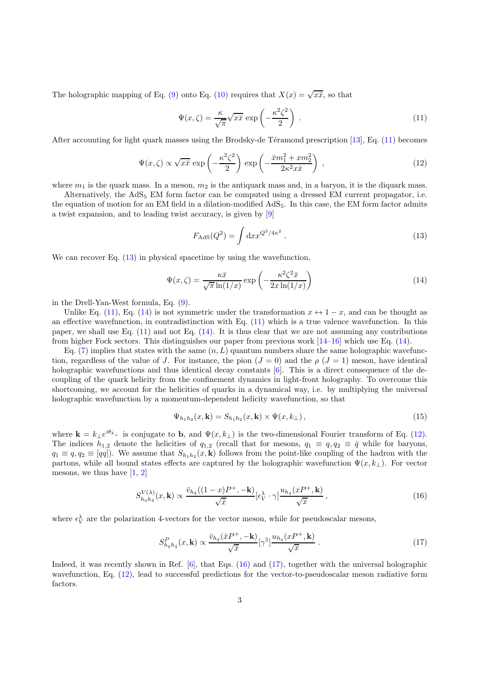<span id="page-2-0"></span>The holographic mapping of Eq. [\(9\)](#page-1-0) onto Eq. [\(10\)](#page-1-0) requires that  $X(x) = \sqrt{x\overline{x}}$ , so that

$$
\Psi(x,\zeta) = \frac{\kappa}{\sqrt{\pi}} \sqrt{x\bar{x}} \exp\left(-\frac{\kappa^2 \zeta^2}{2}\right) . \tag{11}
$$

After accounting for light quark masses using the Brodsky-de Téramond prescription  $[13]$ , Eq. (11) becomes

$$
\Psi(x,\zeta) \propto \sqrt{x\bar{x}} \exp\left(-\frac{\kappa^2 \zeta^2}{2}\right) \exp\left(-\frac{\bar{x}m_1^2 + xm_2^2}{2\kappa^2 x \bar{x}}\right) ,\qquad (12)
$$

where  $m_1$  is the quark mass. In a meson,  $m_2$  is the antiquark mass and, in a baryon, it is the diquark mass.

Alternatively, the  $AdS_5$  EM form factor can be computed using a dressed EM current propagator, i.e. the equation of motion for an EM field in a dilation-modified AdS5. In this case, the EM form factor admits a twist expansion, and to leading twist accuracy, is given by [\[9\]](#page-12-0)

$$
F_{\rm AdS}(Q^2) = \int \mathrm{d}x x^{Q^2/4\kappa^2} \,. \tag{13}
$$

We can recover Eq.  $(13)$  in physical spacetime by using the wavefunction,

$$
\Psi(x,\zeta) = \frac{\kappa \bar{x}}{\sqrt{\pi} \ln(1/x)} \exp\left(-\frac{\kappa^2 \zeta^2 \bar{x}}{2x \ln(1/x)}\right)
$$
(14)

in the Drell-Yan-West formula, Eq. [\(9\)](#page-1-0).

Unlike Eq. (11), Eq. (14) is not symmetric under the transformation  $x \leftrightarrow 1-x$ , and can be thought as an effective wavefunction, in contradistinction with Eq.  $(11)$  which is a true valence wavefunction. In this paper, we shall use Eq.  $(11)$  and not Eq.  $(14)$ . It is thus clear that we are not assuming any contributions from higher Fock sectors. This distinguishes our paper from previous work [\[14–16\]](#page-12-0) which use Eq. (14).

Eq. [\(7\)](#page-1-0) implies that states with the same  $(n, L)$  quantum numbers share the same holographic wavefunction, regardless of the value of J. For instance, the pion  $(J = 0)$  and the  $\rho$   $(J = 1)$  meson, have identical holographic wavefunctions and thus identical decay constants [\[6](#page-12-0)]. This is a direct consequence of the decoupling of the quark helicity from the confinement dynamics in light-front holography. To overcome this shortcoming, we account for the helicities of quarks in a dynamical way, i.e. by multiplying the universal holographic wavefunction by a momentum-dependent helicity wavefunction, so that

$$
\Psi_{h_1h_2}(x,\mathbf{k}) = S_{h_1h_2}(x,\mathbf{k}) \times \Psi(x,k_{\perp}), \qquad (15)
$$

where  $\mathbf{k} = k_{\perp} e^{i\theta_{k_{\perp}}}$  is conjugate to b, and  $\Psi(x, k_{\perp})$  is the two-dimensional Fourier transform of Eq. (12). The indices  $h_{1,2}$  denote the helicities of  $q_{1,2}$  (recall that for mesons,  $q_1 \equiv q$ ,  $q_2 \equiv \bar{q}$  while for baryons,  $q_1 \equiv q, q_2 \equiv [qq]$ ). We assume that  $S_{h_1h_2}(x, \mathbf{k})$  follows from the point-like coupling of the hadron with the partons, while all bound states effects are captured by the holographic wavefunction  $\Psi(x, k_{\perp})$ . For vector mesons, we thus have  $[1, 2]$  $[1, 2]$  $[1, 2]$ 

$$
S_{h_q h_{\bar{q}}}^{V(\lambda)}(x, \mathbf{k}) \propto \frac{\bar{v}_{h_{\bar{q}}}((1-x)P^+, -\mathbf{k})}{\sqrt{\bar{x}}} [\epsilon_V^{\lambda} \cdot \gamma] \frac{u_{h_q}(xP^+, \mathbf{k})}{\sqrt{x}}, \qquad (16)
$$

where  $\epsilon_V^{\lambda}$  are the polarization 4-vectors for the vector meson, while for pseudoscalar mesons,

$$
S_{h_q h_{\bar{q}}}^P(x, \mathbf{k}) \propto \frac{\bar{v}_{h_{\bar{q}}}(\bar{x}P^+, -\mathbf{k})}{\sqrt{\bar{x}}} [\gamma^5] \frac{u_{h_q}(xP^+, \mathbf{k})}{\sqrt{x}} . \tag{17}
$$

Indeed, it was recently shown in Ref. [\[6](#page-12-0)], that Eqs. (16) and (17), together with the universal holographic wavefunction, Eq. (12), lead to successful predictions for the vector-to-pseudoscalar meson radiative form factors.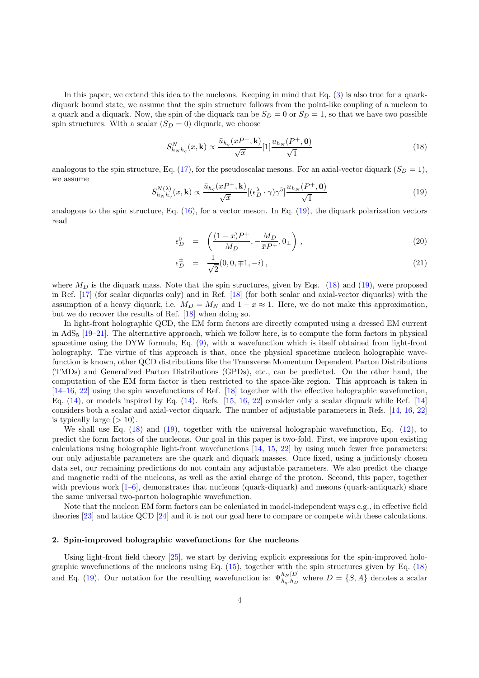In this paper, we extend this idea to the nucleons. Keeping in mind that Eq. [\(3\)](#page-1-0) is also true for a quarkdiquark bound state, we assume that the spin structure follows from the point-like coupling of a nucleon to a quark and a diquark. Now, the spin of the diquark can be  $S_D = 0$  or  $S_D = 1$ , so that we have two possible spin structures. With a scalar  $(S_D = 0)$  diquark, we choose

$$
S_{h_N h_q}^N(x, \mathbf{k}) \propto \frac{\bar{u}_{h_q}(x P^+, \mathbf{k})}{\sqrt{x}} [1] \frac{u_{h_N}(P^+, \mathbf{0})}{\sqrt{1}} \tag{18}
$$

analogous to the spin structure, Eq. [\(17\)](#page-2-0), for the pseudoscalar mesons. For an axial-vector diquark  $(S_D = 1)$ , we assume

$$
S_{h_N h_q}^{N(\lambda)}(x, \mathbf{k}) \propto \frac{\bar{u}_{h_q}(x P^+, \mathbf{k})}{\sqrt{x}} [(\epsilon_D^{\lambda} \cdot \gamma) \gamma^5] \frac{u_{h_N}(P^+, \mathbf{0})}{\sqrt{1}} \tag{19}
$$

analogous to the spin structure, Eq.  $(16)$ , for a vector meson. In Eq.  $(19)$ , the diquark polarization vectors read

$$
\epsilon_D^0 = \left( \frac{(1-x)P^+}{M_D}, -\frac{M_D}{\bar{x}P^+}, 0_\perp \right), \tag{20}
$$

$$
\epsilon_D^{\pm} = \frac{1}{\sqrt{2}} (0, 0, \mp 1, -i) \,, \tag{21}
$$

where  $M_D$  is the diquark mass. Note that the spin structures, given by Eqs. (18) and (19), were proposed in Ref. [\[17\]](#page-12-0) (for scalar diquarks only) and in Ref. [\[18](#page-12-0)] (for both scalar and axial-vector diquarks) with the assumption of a heavy diquark, i.e.  $M_D = M_N$  and  $1 - x \approx 1$ . Here, we do not make this approximation, but we do recover the results of Ref. [\[18](#page-12-0)] when doing so.

In light-front holographic QCD, the EM form factors are directly computed using a dressed EM current in AdS<sub>5</sub> [\[19–21\]](#page-12-0). The alternative approach, which we follow here, is to compute the form factors in physical spacetime using the DYW formula, Eq. [\(9\)](#page-1-0), with a wavefunction which is itself obtained from light-front holography. The virtue of this approach is that, once the physical spacetime nucleon holographic wavefunction is known, other QCD distributions like the Transverse Momentum Dependent Parton Distributions (TMDs) and Generalized Parton Distributions (GPDs), etc., can be predicted. On the other hand, the computation of the EM form factor is then restricted to the space-like region. This approach is taken in [\[14–16](#page-12-0), [22\]](#page-12-0) using the spin wavefunctions of Ref. [\[18\]](#page-12-0) together with the effective holographic wavefunction, Eq.  $(14)$ , or models inspired by Eq.  $(14)$ . Refs.  $[15, 16, 22]$  $[15, 16, 22]$  $[15, 16, 22]$  $[15, 16, 22]$  consider only a scalar diquark while Ref.  $[14]$ considers both a scalar and axial-vector diquark. The number of adjustable parameters in Refs. [\[14](#page-12-0), [16](#page-12-0), [22](#page-12-0)] is typically large  $(>10)$ .

We shall use Eq. (18) and (19), together with the universal holographic wavefunction, Eq. [\(12\)](#page-2-0), to predict the form factors of the nucleons. Our goal in this paper is two-fold. First, we improve upon existing calculations using holographic light-front wavefunctions [\[14,](#page-12-0) [15](#page-12-0), [22\]](#page-12-0) by using much fewer free parameters: our only adjustable parameters are the quark and diquark masses. Once fixed, using a judiciously chosen data set, our remaining predictions do not contain any adjustable parameters. We also predict the charge and magnetic radii of the nucleons, as well as the axial charge of the proton. Second, this paper, together with previous work  $[1-6]$ , demonstrates that nucleons (quark-diquark) and mesons (quark-antiquark) share the same universal two-parton holographic wavefunction.

Note that the nucleon EM form factors can be calculated in model-independent ways e.g., in effective field theories [\[23](#page-12-0)] and lattice QCD [\[24](#page-12-0)] and it is not our goal here to compare or compete with these calculations.

## 2. Spin-improved holographic wavefunctions for the nucleons

Using light-front field theory [\[25\]](#page-12-0), we start by deriving explicit expressions for the spin-improved holographic wavefunctions of the nucleons using Eq.  $(15)$ , together with the spin structures given by Eq.  $(18)$ and Eq. (19). Our notation for the resulting wavefunction is:  $\Psi_{h_q,h_D}^{h_N[D]}$  where  $D = \{S, A\}$  denotes a scalar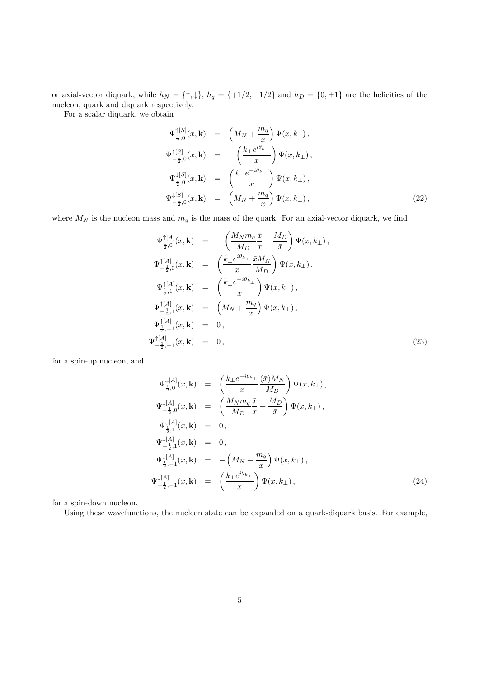<span id="page-4-0"></span>or axial-vector diquark, while  $h_N = \{\uparrow, \downarrow\}, h_q = \{+1/2, -1/2\}$  and  $h_D = \{0, \pm 1\}$  are the helicities of the nucleon, quark and diquark respectively.

For a scalar diquark, we obtain

$$
\Psi_{\frac{1}{2},0}^{\uparrow [S]}(x, \mathbf{k}) = \left(M_N + \frac{m_q}{x}\right) \Psi(x, k_{\perp}),
$$
\n
$$
\Psi_{-\frac{1}{2},0}^{\uparrow [S]}(x, \mathbf{k}) = -\left(\frac{k_{\perp}e^{i\theta_{k_{\perp}}}}{x}\right) \Psi(x, k_{\perp}),
$$
\n
$$
\Psi_{\frac{1}{2},0}^{\downarrow [S]}(x, \mathbf{k}) = \left(\frac{k_{\perp}e^{-i\theta_{k_{\perp}}}}{x}\right) \Psi(x, k_{\perp}),
$$
\n
$$
\Psi_{-\frac{1}{2},0}^{\downarrow [S]}(x, \mathbf{k}) = \left(M_N + \frac{m_q}{x}\right) \Psi(x, k_{\perp}),
$$
\n(22)

where  $M_N$  is the nucleon mass and  $m_q$  is the mass of the quark. For an axial-vector diquark, we find

$$
\Psi_{\frac{1}{2},0}^{\uparrow [A]}(x, \mathbf{k}) = -\left(\frac{M_N m_q \bar{x}}{M_D} + \frac{M_D}{\bar{x}}\right) \Psi(x, k_{\perp}),
$$
\n
$$
\Psi_{-\frac{1}{2},0}^{\uparrow [A]}(x, \mathbf{k}) = \left(\frac{k_{\perp} e^{i\theta_{k_{\perp}}} \bar{x} M_N}{x M_D}\right) \Psi(x, k_{\perp}),
$$
\n
$$
\Psi_{\frac{1}{2},1}^{\uparrow [A]}(x, \mathbf{k}) = \left(\frac{k_{\perp} e^{-i\theta_{k_{\perp}}}}{x}\right) \Psi(x, k_{\perp}),
$$
\n
$$
\Psi_{-\frac{1}{2},1}^{\uparrow [A]}(x, \mathbf{k}) = \left(M_N + \frac{m_q}{x}\right) \Psi(x, k_{\perp}),
$$
\n
$$
\Psi_{\frac{1}{2},-1}^{\uparrow [A]}(x, \mathbf{k}) = 0,
$$
\n
$$
\Psi_{-\frac{1}{2},-1}^{\uparrow [A]}(x, \mathbf{k}) = 0,
$$
\n(23)

for a spin-up nucleon, and

$$
\Psi_{\frac{1}{2},0}^{\downarrow [A]}(x, \mathbf{k}) = \left(\frac{k_{\perp}e^{-i\theta_{k_{\perp}}}}{x} \frac{(\bar{x})M_{N}}{M_{D}}\right) \Psi(x, k_{\perp}),
$$
\n
$$
\Psi_{-\frac{1}{2},0}^{\downarrow [A]}(x, \mathbf{k}) = \left(\frac{M_{N}m_{q}}{M_{D}} \frac{\bar{x}}{x} + \frac{M_{D}}{\bar{x}}\right) \Psi(x, k_{\perp}),
$$
\n
$$
\Psi_{\frac{1}{2},1}^{\downarrow [A]}(x, \mathbf{k}) = 0,
$$
\n
$$
\Psi_{-\frac{1}{2},1}^{\downarrow [A]}(x, \mathbf{k}) = 0,
$$
\n
$$
\Psi_{\frac{1}{2},-1}^{\downarrow [A]}(x, \mathbf{k}) = -\left(M_{N} + \frac{m_{q}}{x}\right) \Psi(x, k_{\perp}),
$$
\n
$$
\Psi_{-\frac{1}{2},-1}^{\downarrow [A]}(x, \mathbf{k}) = \left(\frac{k_{\perp}e^{i\theta_{k_{\perp}}}}{x}\right) \Psi(x, k_{\perp}),
$$
\n(24)

for a spin-down nucleon.

Using these wavefunctions, the nucleon state can be expanded on a quark-diquark basis. For example,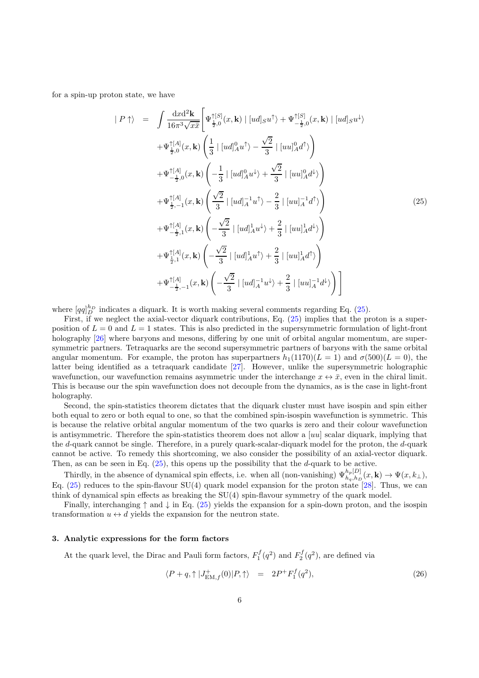<span id="page-5-0"></span>for a spin-up proton state, we have

$$
| P \uparrow \rangle = \int \frac{dxd^{2} \mathbf{k}}{16\pi^{3}\sqrt{x\bar{x}}} \left[ \Psi_{\frac{1}{2},0}^{ \uparrow [S]}(x, \mathbf{k}) | [ud]_{S}u^{\uparrow} \rangle + \Psi_{-\frac{1}{2},0}^{ \uparrow [S]}(x, \mathbf{k}) | [ud]_{S}u^{\downarrow} \rangle + \Psi_{\frac{1}{2},0}^{ \uparrow [A]}(x, \mathbf{k}) \left( \frac{1}{3} | [ud]_{A}^{0}u^{\uparrow} \rangle - \frac{\sqrt{2}}{3} | [uu]_{A}^{0}d^{\uparrow} \rangle \right) + \Psi_{-\frac{1}{2},0}^{ \uparrow [A]}(x, \mathbf{k}) \left( -\frac{1}{3} | [ud]_{A}^{0}u^{\downarrow} \rangle + \frac{\sqrt{2}}{3} | [uu]_{A}^{0}d^{\downarrow} \rangle \right) + \Psi_{\frac{1}{2},-1}^{ \uparrow [A]}(x, \mathbf{k}) \left( \frac{\sqrt{2}}{3} | [ud]_{A}^{-1}u^{\uparrow} \rangle - \frac{2}{3} | [uu]_{A}^{-1}d^{\uparrow} \rangle \right) + \Psi_{-\frac{1}{2},1}^{ \uparrow [A]}(x, \mathbf{k}) \left( -\frac{\sqrt{2}}{3} | [ud]_{A}^{1}u^{\downarrow} \rangle + \frac{2}{3} | [uu]_{A}^{1}d^{\downarrow} \rangle \right) + \Psi_{\frac{1}{2},1}^{ \uparrow [A]}(x, \mathbf{k}) \left( -\frac{\sqrt{2}}{3} | [ud]_{A}^{1}u^{\uparrow} \rangle + \frac{2}{3} | [uu]_{A}^{1}d^{\uparrow} \rangle \right) + \Psi_{-\frac{1}{2},-1}^{ \uparrow [A]}(x, \mathbf{k}) \left( -\frac{\sqrt{2}}{3} | [ud]_{A}^{-1}u^{\downarrow} \rangle + \frac{2}{3} | [uu]_{A}^{-1}d^{\downarrow} \rangle \right) \right]
$$

where  $[qq]_D^{h_D}$  indicates a diquark. It is worth making several comments regarding Eq. (25).

First, if we neglect the axial-vector diquark contributions, Eq.  $(25)$  implies that the proton is a superposition of  $L = 0$  and  $L = 1$  states. This is also predicted in the supersymmetric formulation of light-front holography [\[26](#page-13-0)] where baryons and mesons, differing by one unit of orbital angular momentum, are supersymmetric partners. Tetraquarks are the second supersymmetric partners of baryons with the same orbital angular momentum. For example, the proton has superpartners  $h_1(1170)(L = 1)$  and  $\sigma(500)(L = 0)$ , the latter being identified as a tetraquark candidate [\[27](#page-13-0)]. However, unlike the supersymmetric holographic wavefunction, our wavefunction remains asymmetric under the interchange  $x \leftrightarrow \bar{x}$ , even in the chiral limit. This is because our the spin wavefunction does not decouple from the dynamics, as is the case in light-front holography.

Second, the spin-statistics theorem dictates that the diquark cluster must have isospin and spin either both equal to zero or both equal to one, so that the combined spin-isospin wavefunction is symmetric. This is because the relative orbital angular momentum of the two quarks is zero and their colour wavefunction is antisymmetric. Therefore the spin-statistics theorem does not allow a  $[uu]$  scalar diquark, implying that the d-quark cannot be single. Therefore, in a purely quark-scalar-diquark model for the proton, the d-quark cannot be active. To remedy this shortcoming, we also consider the possibility of an axial-vector diquark. Then, as can be seen in Eq.  $(25)$ , this opens up the possibility that the d-quark to be active.

Thirdly, in the absence of dynamical spin effects, i.e. when all (non-vanishing)  $\Psi_{h_q,h_p}^{h_p[D]}(x, \mathbf{k}) \to \Psi(x, k_\perp)$ , Eq. (25) reduces to the spin-flavour SU(4) quark model expansion for the proton state [\[28\]](#page-13-0). Thus, we can think of dynamical spin effects as breaking the SU(4) spin-flavour symmetry of the quark model.

Finally, interchanging  $\uparrow$  and  $\downarrow$  in Eq. (25) yields the expansion for a spin-down proton, and the isospin transformation  $u \leftrightarrow d$  yields the expansion for the neutron state.

# 3. Analytic expressions for the form factors

At the quark level, the Dirac and Pauli form factors,  $F_1^f(q^2)$  and  $F_2^f(q^2)$ , are defined via

$$
\langle P+q, \uparrow |J_{\text{EM},f}^{+}(0)|P,\uparrow\rangle = 2P^{+}F_{1}^{f}(q^{2}), \qquad (26)
$$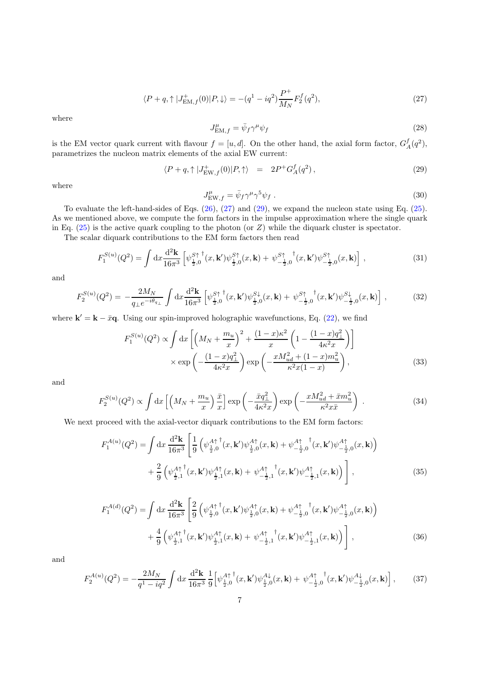$$
\langle P+q, \uparrow |J_{\text{EM},f}^{+}(0)|P,\downarrow\rangle = -(q^1 - iq^2)\frac{P^+}{M_N}F_2^f(q^2),\tag{27}
$$

where

$$
J_{\text{EM},f}^{\mu} = \bar{\psi}_f \gamma^{\mu} \psi_f \tag{28}
$$

is the EM vector quark current with flavour  $f = [u, d]$ . On the other hand, the axial form factor,  $G_A^f(q^2)$ , parametrizes the nucleon matrix elements of the axial EW current:

$$
\langle P+q, \uparrow |J_{\text{EW},f}^+(0)|P,\uparrow\rangle \quad = \quad 2P^+G_A^f(q^2)\,,\tag{29}
$$

where

$$
J_{\text{EW},f}^{\mu} = \bar{\psi}_f \gamma^{\mu} \gamma^5 \psi_f \tag{30}
$$

To evaluate the left-hand-sides of Eqs. [\(26\)](#page-5-0), (27) and (29), we expand the nucleon state using Eq. [\(25\)](#page-5-0). As we mentioned above, we compute the form factors in the impulse approximation where the single quark in Eq.  $(25)$  is the active quark coupling to the photon (or Z) while the diquark cluster is spectator.

The scalar diquark contributions to the EM form factors then read

$$
F_1^{S(u)}(Q^2) = \int \mathrm{d}x \frac{\mathrm{d}^2 \mathbf{k}}{16\pi^3} \left[ \psi_{\frac{1}{2},0}^{S\uparrow \dagger}(x,\mathbf{k}') \psi_{\frac{1}{2},0}^{S\uparrow}(x,\mathbf{k}) + \psi_{-\frac{1}{2},0}^{S\uparrow \dagger}(x,\mathbf{k}') \psi_{-\frac{1}{2},0}^{S\uparrow}(x,\mathbf{k}) \right] \,, \tag{31}
$$

and

$$
F_2^{S(u)}(Q^2) = -\frac{2M_N}{q_\perp e^{-i\theta_{q_\perp}}} \int \mathrm{d}x \frac{\mathrm{d}^2 \mathbf{k}}{16\pi^3} \left[ \psi_{\frac{1}{2},0}^{S\uparrow}{}^{\dagger}(x,\mathbf{k}') \psi_{\frac{1}{2},0}^{S\downarrow}(x,\mathbf{k}) + \psi_{-\frac{1}{2},0}^{S\uparrow}{}^{\dagger}(x,\mathbf{k}') \psi_{-\frac{1}{2},0}^{S\downarrow}(x,\mathbf{k}) \right] \,, \tag{32}
$$

where  $\mathbf{k}' = \mathbf{k} - \bar{x}\mathbf{q}$ . Using our spin-improved holographic wavefunctions, Eq. [\(22\)](#page-4-0), we find

$$
F_1^{S(u)}(Q^2) \propto \int dx \left[ \left( M_N + \frac{m_u}{x} \right)^2 + \frac{(1-x)\kappa^2}{x} \left( 1 - \frac{(1-x)q_{\perp}^2}{4\kappa^2 x} \right) \right] \times \exp \left( -\frac{(1-x)q_{\perp}^2}{4\kappa^2 x} \right) \exp \left( -\frac{xM_{ud}^2 + (1-x)m_u^2}{\kappa^2 x (1-x)} \right), \tag{33}
$$

and

$$
F_2^{S(u)}(Q^2) \propto \int dx \left[ \left( M_N + \frac{m_u}{x} \right) \frac{\bar{x}}{x} \right] \exp\left( -\frac{\bar{x}q_\perp^2}{4\kappa^2 x} \right) \exp\left( -\frac{xM_{ud}^2 + \bar{x}m_u^2}{\kappa^2 x \bar{x}} \right) \,. \tag{34}
$$

We next proceed with the axial-vector diquark contributions to the EM form factors:

$$
F_1^{A(u)}(Q^2) = \int dx \frac{d^2 \mathbf{k}}{16\pi^3} \left[ \frac{1}{9} \left( \psi_{\frac{1}{2},0}^{A\uparrow}{}^{\dagger}(x,\mathbf{k}') \psi_{\frac{1}{2},0}^{A\uparrow}(x,\mathbf{k}) + \psi_{-\frac{1}{2},0}^{A\uparrow}{}^{\dagger}(x,\mathbf{k}') \psi_{-\frac{1}{2},0}^{A\uparrow}(x,\mathbf{k}) \right) \right. \\
\left. + \frac{2}{9} \left( \psi_{\frac{1}{2},1}^{A\uparrow}{}^{\dagger}(x,\mathbf{k}') \psi_{\frac{1}{2},1}^{A\uparrow}(x,\mathbf{k}) + \psi_{-\frac{1}{2},1}^{A\uparrow}{}^{\dagger}(x,\mathbf{k}') \psi_{-\frac{1}{2},1}^{A\uparrow}(x,\mathbf{k}) \right) \right],
$$
\n(35)

$$
F_1^{A(d)}(Q^2) = \int dx \frac{d^2 \mathbf{k}}{16\pi^3} \left[ \frac{2}{9} \left( \psi_{\frac{1}{2},0}^{A\uparrow}(\mathbf{x}, \mathbf{k}') \psi_{\frac{1}{2},0}^{A\uparrow}(\mathbf{x}, \mathbf{k}) + \psi_{-\frac{1}{2},0}^{A\uparrow}(\mathbf{x}, \mathbf{k}') \psi_{-\frac{1}{2},0}^{A\uparrow}(\mathbf{x}, \mathbf{k}) \right) \right. \\
\left. + \frac{4}{9} \left( \psi_{\frac{1}{2},1}^{A\uparrow}(\mathbf{x}, \mathbf{k}') \psi_{\frac{1}{2},1}^{A\uparrow}(\mathbf{x}, \mathbf{k}) + \psi_{-\frac{1}{2},1}^{A\uparrow}(\mathbf{x}, \mathbf{k}') \psi_{-\frac{1}{2},1}^{A\uparrow}(\mathbf{x}, \mathbf{k}) \right) \right],
$$
\n(36)

and

$$
F_2^{A(u)}(Q^2) = -\frac{2M_N}{q^1 - iq^2} \int \mathrm{d}x \, \frac{\mathrm{d}^2 \mathbf{k}}{16\pi^3} \, \frac{1}{9} \Big[ \psi_{\frac{1}{2},0}^{A\uparrow \dagger}(x,\mathbf{k}') \psi_{\frac{1}{2},0}^{A\downarrow}(x,\mathbf{k}) + \psi_{-\frac{1}{2},0}^{A\uparrow \dagger}(x,\mathbf{k}') \psi_{-\frac{1}{2},0}^{A\downarrow}(x,\mathbf{k}) \Big] \,,\tag{37}
$$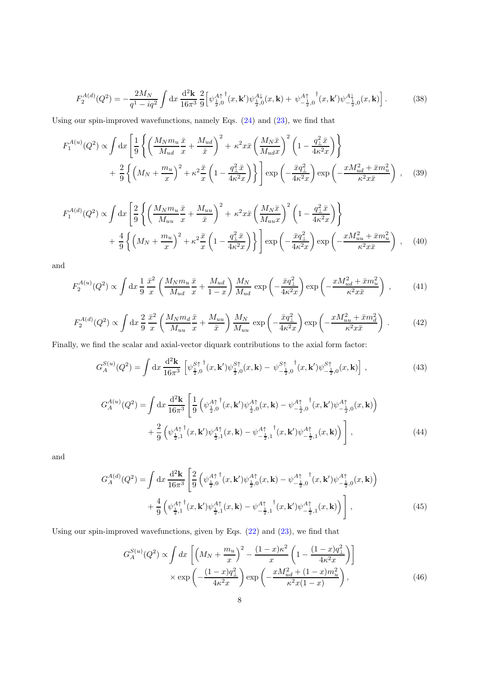$$
F_2^{A(d)}(Q^2) = -\frac{2M_N}{q^1 - iq^2} \int \mathrm{d}x \, \frac{\mathrm{d}^2 \mathbf{k}}{16\pi^3} \frac{2}{9} \Big[ \psi_{\frac{1}{2},0}^{A\uparrow \dagger}(x,\mathbf{k}') \psi_{\frac{1}{2},0}^{A\downarrow}(x,\mathbf{k}) + \psi_{-\frac{1}{2},0}^{A\uparrow \dagger}{}^{\dagger}(x,\mathbf{k}') \psi_{-\frac{1}{2},0}^{A\downarrow}(x,\mathbf{k}) \Big]. \tag{38}
$$

Using our spin-improved wavefunctions, namely Eqs. [\(24\)](#page-4-0) and [\(23\)](#page-4-0), we find that

$$
F_1^{A(u)}(Q^2) \propto \int dx \left[ \frac{1}{9} \left\{ \left( \frac{M_N m_u}{M_{ud}} \frac{\bar{x}}{x} + \frac{M_{ud}}{\bar{x}} \right)^2 + \kappa^2 x \bar{x} \left( \frac{M_N \bar{x}}{M_{ud} x} \right)^2 \left( 1 - \frac{q_\perp^2 \bar{x}}{4\kappa^2 x} \right) \right\} \right] + \frac{2}{9} \left\{ \left( M_N + \frac{m_u}{x} \right)^2 + \kappa^2 \frac{\bar{x}}{x} \left( 1 - \frac{q_\perp^2 \bar{x}}{4\kappa^2 x} \right) \right\} \right] \exp\left( -\frac{\bar{x} q_\perp^2}{4\kappa^2 x} \right) \exp\left( -\frac{x M_{ud}^2 + \bar{x} m_u^2}{\kappa^2 x \bar{x}} \right) , \quad (39)
$$

$$
F_1^{A(d)}(Q^2) \propto \int dx \left[ \frac{2}{9} \left\{ \left( \frac{M_N m_u}{M_{uu}} \frac{\bar{x}}{x} + \frac{M_{uu}}{\bar{x}} \right)^2 + \kappa^2 x \bar{x} \left( \frac{M_N \bar{x}}{M_{uu} x} \right)^2 \left( 1 - \frac{q_\perp^2 \bar{x}}{4\kappa^2 x} \right) \right\} + \frac{4}{9} \left\{ \left( M_N + \frac{m_u}{x} \right)^2 + \kappa^2 \frac{\bar{x}}{x} \left( 1 - \frac{q_\perp^2 \bar{x}}{4\kappa^2 x} \right) \right\} \right] \exp\left( -\frac{\bar{x}q_\perp^2}{4\kappa^2 x} \right) \exp\left( -\frac{xM_{uu}^2 + \bar{x}m_u^2}{\kappa^2 x \bar{x}} \right) , \quad (40)
$$

and

$$
F_2^{A(u)}(Q^2) \propto \int \mathrm{d}x \, \frac{1}{9} \frac{\bar{x}^2}{x} \left( \frac{M_N m_u}{M_{ud}} \frac{\bar{x}}{x} + \frac{M_{ud}}{1-x} \right) \frac{M_N}{M_{ud}} \exp\left(-\frac{\bar{x}q_\perp^2}{4\kappa^2 x}\right) \exp\left(-\frac{xM_{ud}^2 + \bar{x}m_u^2}{\kappa^2 x \bar{x}}\right) ,\tag{41}
$$

$$
F_2^{A(d)}(Q^2) \propto \int \mathrm{d}x \, \frac{2}{9} \, \frac{\bar{x}^2}{x} \left( \frac{M_N m_d \, \bar{x}}{M_{uu}} + \frac{M_{uu}}{\bar{x}} \right) \frac{M_N}{M_{uu}} \, \exp\left(-\frac{\bar{x}q_\perp^2}{4\kappa^2 x}\right) \exp\left(-\frac{xM_{uu}^2 + \bar{x}m_d^2}{\kappa^2 x \bar{x}}\right) \,. \tag{42}
$$

Finally, we find the scalar and axial-vector diquark contributions to the axial form factor:

$$
G_A^{S(u)}(Q^2) = \int \mathrm{d}x \, \frac{\mathrm{d}^2 \mathbf{k}}{16\pi^3} \left[ \psi_{\frac{1}{2},0}^{S\uparrow \dagger}(x,\mathbf{k}') \psi_{\frac{1}{2},0}^{S\uparrow}(x,\mathbf{k}) - \psi_{-\frac{1}{2},0}^{S\uparrow \dagger}(x,\mathbf{k}') \psi_{-\frac{1}{2},0}^{S\uparrow}(x,\mathbf{k}) \right] \,, \tag{43}
$$

$$
G_A^{A(u)}(Q^2) = \int dx \frac{d^2 \mathbf{k}}{16\pi^3} \left[ \frac{1}{9} \left( \psi_{\frac{1}{2},0}^{A\uparrow}(\mathbf{x}, \mathbf{k}') \psi_{\frac{1}{2},0}^{A\uparrow}(\mathbf{x}, \mathbf{k}) - \psi_{-\frac{1}{2},0}^{A\uparrow}(\mathbf{x}, \mathbf{k}') \psi_{-\frac{1}{2},0}^{A\uparrow}(\mathbf{x}, \mathbf{k}) \right) \right. \\
\left. + \frac{2}{9} \left( \psi_{\frac{1}{2},1}^{A\uparrow}(\mathbf{x}, \mathbf{k}') \psi_{\frac{1}{2},1}^{A\uparrow}(\mathbf{x}, \mathbf{k}) - \psi_{-\frac{1}{2},1}^{A\uparrow}(\mathbf{x}, \mathbf{k}') \psi_{-\frac{1}{2},1}^{A\uparrow}(\mathbf{x}, \mathbf{k}) \right) \right],
$$
\n(44)

and

$$
G_A^{A(d)}(Q^2) = \int dx \frac{d^2 \mathbf{k}}{16\pi^3} \left[ \frac{2}{9} \left( \psi_{\frac{1}{2},0}^{A\uparrow}(\mathbf{x}, \mathbf{k}') \psi_{\frac{1}{2},0}^{A\uparrow}(\mathbf{x}, \mathbf{k}) - \psi_{-\frac{1}{2},0}^{A\uparrow}(\mathbf{x}, \mathbf{k}') \psi_{-\frac{1}{2},0}^{A\uparrow}(\mathbf{x}, \mathbf{k}) \right) \right. \\
\left. + \frac{4}{9} \left( \psi_{\frac{1}{2},1}^{A\uparrow}(\mathbf{x}, \mathbf{k}') \psi_{\frac{1}{2},1}^{A\uparrow}(\mathbf{x}, \mathbf{k}) - \psi_{-\frac{1}{2},1}^{A\uparrow}(\mathbf{x}, \mathbf{k}') \psi_{-\frac{1}{2},1}^{A\uparrow}(\mathbf{x}, \mathbf{k}) \right) \right],
$$
\n(45)

Using our spin-improved wavefunctions, given by Eqs. [\(22\)](#page-4-0) and [\(23\)](#page-4-0), we find that

$$
G_A^{S(u)}(Q^2) \propto \int dx \left[ \left( M_N + \frac{m_u}{x} \right)^2 - \frac{(1-x)\kappa^2}{x} \left( 1 - \frac{(1-x)q_{\perp}^2}{4\kappa^2 x} \right) \right] \times \exp \left( -\frac{(1-x)q_{\perp}^2}{4\kappa^2 x} \right) \exp \left( -\frac{xM_{ud}^2 + (1-x)m_u^2}{\kappa^2 x (1-x)} \right), \tag{46}
$$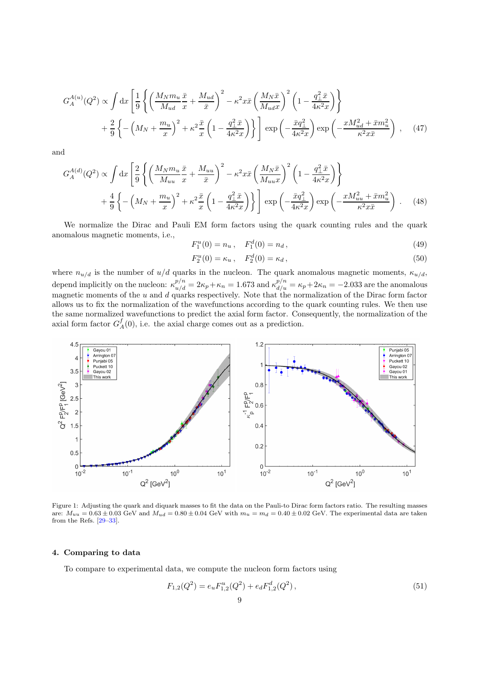<span id="page-8-0"></span>
$$
G_A^{A(u)}(Q^2) \propto \int dx \left[ \frac{1}{9} \left\{ \left( \frac{M_N m_u}{M_{ud}} \frac{\bar{x}}{x} + \frac{M_{ud}}{\bar{x}} \right)^2 - \kappa^2 x \bar{x} \left( \frac{M_N \bar{x}}{M_{ud} x} \right)^2 \left( 1 - \frac{q_\perp^2 \bar{x}}{4\kappa^2 x} \right) \right\} + \frac{2}{9} \left\{ - \left( M_N + \frac{m_u}{x} \right)^2 + \kappa^2 \frac{\bar{x}}{x} \left( 1 - \frac{q_\perp^2 \bar{x}}{4\kappa^2 x} \right) \right\} \right] \exp\left( -\frac{\bar{x} q_\perp^2}{4\kappa^2 x} \right) \exp\left( -\frac{x M_{ud}^2 + \bar{x} m_u^2}{\kappa^2 x \bar{x}} \right) , \quad (47)
$$

and

$$
G_A^{A(d)}(Q^2) \propto \int dx \left[ \frac{2}{9} \left\{ \left( \frac{M_N m_u}{M_{uu}} \frac{\bar{x}}{x} + \frac{M_{uu}}{\bar{x}} \right)^2 - \kappa^2 x \bar{x} \left( \frac{M_N \bar{x}}{M_{uu} x} \right)^2 \left( 1 - \frac{q_\perp^2 \bar{x}}{4\kappa^2 x} \right) \right\} + \frac{4}{9} \left\{ - \left( M_N + \frac{m_u}{x} \right)^2 + \kappa^2 \frac{\bar{x}}{x} \left( 1 - \frac{q_\perp^2 \bar{x}}{4\kappa^2 x} \right) \right\} \right] \exp\left( -\frac{\bar{x} q_\perp^2}{4\kappa^2 x} \right) \exp\left( -\frac{x M_{uu}^2 + \bar{x} m_u^2}{\kappa^2 x \bar{x}} \right) . \tag{48}
$$

We normalize the Dirac and Pauli EM form factors using the quark counting rules and the quark anomalous magnetic moments, i.e.,

$$
F_1^u(0) = n_u, \quad F_1^d(0) = n_d, \tag{49}
$$

$$
F_2^u(0) = \kappa_u, \quad F_2^d(0) = \kappa_d, \tag{50}
$$

where  $n_{u/d}$  is the number of  $u/d$  quarks in the nucleon. The quark anomalous magnetic moments,  $\kappa_{u/d}$ , depend implicitly on the nucleon:  $\kappa_{u/d}^{p/n} = 2\kappa_p + \kappa_n = 1.673$  and  $\kappa_{d/u}^{p/n} = \kappa_p + 2\kappa_n = -2.033$  are the anomalous magnetic moments of the u and d quarks respectively. Note that the normalization of the Dirac form factor allows us to fix the normalization of the wavefunctions according to the quark counting rules. We then use the same normalized wavefunctions to predict the axial form factor. Consequently, the normalization of the axial form factor  $G_A^f(0)$ , i.e. the axial charge comes out as a prediction.



Figure 1: Adjusting the quark and diquark masses to fit the data on the Pauli-to Dirac form factors ratio. The resulting masses are:  $M_{uu} = 0.63 \pm 0.03$  GeV and  $M_{ud} = 0.80 \pm 0.04$  GeV with  $m_u = m_d = 0.40 \pm 0.02$  GeV. The experimental data are taken from the Refs. [\[29–33\]](#page-13-0).

#### 4. Comparing to data

To compare to experimental data, we compute the nucleon form factors using

$$
F_{1,2}(Q^2) = e_u F_{1,2}^u(Q^2) + e_d F_{1,2}^d(Q^2), \qquad (51)
$$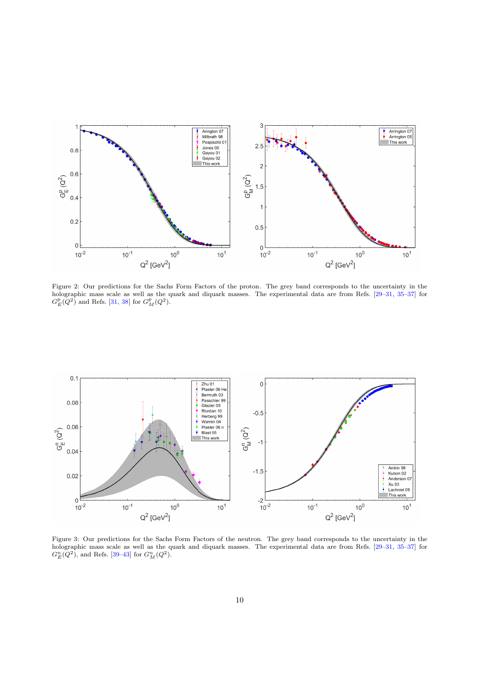<span id="page-9-0"></span>

Figure 2: Our predictions for the Sachs Form Factors of the proton. The grey band corresponds to the uncertainty in the holographic mass scale as well as the quark and diquark masses. The experimental data are from Refs. [\[29–31](#page-13-0), [35–37\]](#page-13-0) for  $G_E^p(Q^2)$  and Refs. [\[31,](#page-13-0) [38](#page-13-0)] for  $G_M^p(Q^2)$ .



Figure 3: Our predictions for the Sachs Form Factors of the neutron. The grey band corresponds to the uncertainty in the holographic mass scale as well as the quark and diquark masses. The experimental data are from Refs. [\[29–31](#page-13-0), [35–37\]](#page-13-0) for  $G_E^n(Q^2)$ , and Refs. [\[39–43\]](#page-13-0) for  $G_M^n(Q^2)$ .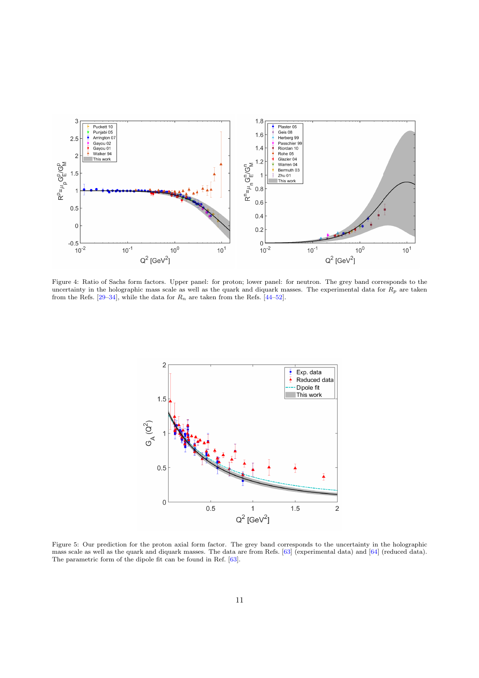<span id="page-10-0"></span>

Figure 4: Ratio of Sachs form factors. Upper panel: for proton; lower panel: for neutron. The grey band corresponds to the uncertainty in the holographic mass scale as well as the quark and diquark masses. The experimental data for  $R_p$  are taken from the Refs.  $[29-34]$ , while the data for  $R_n$  are taken from the Refs.  $[44-52]$ .



Figure 5: Our prediction for the proton axial form factor. The grey band corresponds to the uncertainty in the holographic mass scale as well as the quark and diquark masses. The data are from Refs. [\[63\]](#page-13-0) (experimental data) and [\[64](#page-13-0)] (reduced data). The parametric form of the dipole fit can be found in Ref. [\[63](#page-13-0)].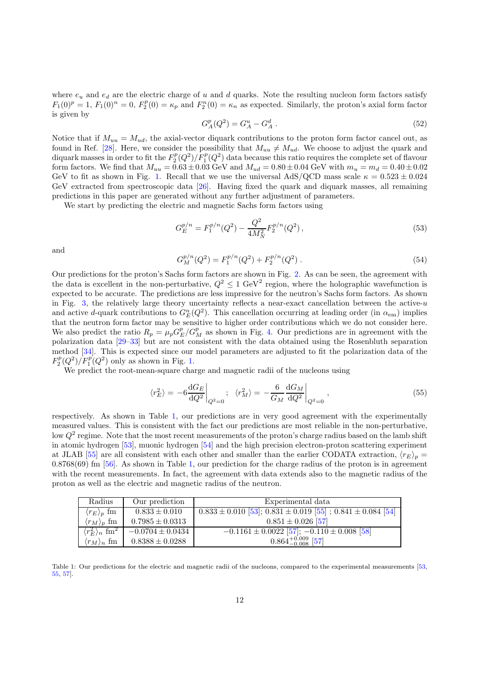where  $e_u$  and  $e_d$  are the electric charge of u and d quarks. Note the resulting nucleon form factors satisfy  $F_1(0)^p = 1$ ,  $F_1(0)^n = 0$ ,  $F_2^p(0) = \kappa_p$  and  $F_2^n(0) = \kappa_n$  as expected. Similarly, the proton's axial form factor is given by

$$
G_A^p(Q^2) = G_A^u - G_A^d \t\t(52)
$$

Notice that if  $M_{uu} = M_{ud}$ , the axial-vector diquark contributions to the proton form factor cancel out, as found in Ref. [\[28\]](#page-13-0). Here, we consider the possibility that  $M_{uu} \neq M_{ud}$ . We choose to adjust the quark and diquark masses in order to fit the  $F_2^p(Q^2)/F_1^p(Q^2)$  data because this ratio requires the complete set of flavour form factors. We find that  $M_{uu} = 0.63 \pm 0.03$  GeV and  $M_{ud} = 0.80 \pm 0.04$  GeV with  $m_u = m_d = 0.40 \pm 0.02$ GeV to fit as shown in Fig. [1.](#page-8-0) Recall that we use the universal AdS/QCD mass scale  $\kappa = 0.523 \pm 0.024$ GeV extracted from spectroscopic data [\[26\]](#page-13-0). Having fixed the quark and diquark masses, all remaining predictions in this paper are generated without any further adjustment of parameters.

We start by predicting the electric and magnetic Sachs form factors using

$$
G_E^{p/n} = F_1^{p/n}(Q^2) - \frac{Q^2}{4M_N^2} F_2^{p/n}(Q^2) \,,\tag{53}
$$

and

$$
G_M^{p/n}(Q^2) = F_1^{p/n}(Q^2) + F_2^{p/n}(Q^2) \tag{54}
$$

Our predictions for the proton's Sachs form factors are shown in Fig. [2.](#page-9-0) As can be seen, the agreement with the data is excellent in the non-perturbative,  $Q^2 \leq 1 \text{ GeV}^2$  region, where the holographic wavefunction is expected to be accurate. The predictions are less impressive for the neutron's Sachs form factors. As shown in Fig. [3,](#page-9-0) the relatively large theory uncertainty reflects a near-exact cancellation between the active- $u$ and active d-quark contributions to  $G_E^n(Q^2)$ . This cancellation occurring at leading order (in  $\alpha_{em}$ ) implies that the neutron form factor may be sensitive to higher order contributions which we do not consider here. We also predict the ratio  $R_p = \mu_p G_E^p / G_M^p$  as shown in Fig. [4.](#page-10-0) Our predictions are in agreement with the polarization data [\[29–33\]](#page-13-0) but are not consistent with the data obtained using the Rosenbluth separation method [\[34\]](#page-13-0). This is expected since our model parameters are adjusted to fit the polarization data of the  $F_2^p(Q^2)/F_1^p(Q^2)$  only as shown in Fig. [1.](#page-8-0)

We predict the root-mean-square charge and magnetic radii of the nucleons using

$$
\langle r_E^2 \rangle = -6 \frac{\mathrm{d} G_E}{\mathrm{d} Q^2} \bigg|_{Q^2=0} ; \quad \langle r_M^2 \rangle = -\frac{6}{G_M} \frac{\mathrm{d} G_M}{\mathrm{d} Q^2} \bigg|_{Q^2=0} , \tag{55}
$$

respectively. As shown in Table 1, our predictions are in very good agreement with the experimentally measured values. This is consistent with the fact our predictions are most reliable in the non-perturbative, low  $Q^2$  regime. Note that the most recent measurements of the proton's charge radius based on the lamb shift in atomic hydrogen [\[53\]](#page-13-0), muonic hydrogen [\[54](#page-13-0)] and the high precision electron-proton scattering experiment at JLAB [\[55\]](#page-13-0) are all consistent with each other and smaller than the earlier CODATA extraction,  $\langle r_E \rangle_p =$ 0.8768(69) fm [\[56\]](#page-13-0). As shown in Table 1, our prediction for the charge radius of the proton is in agreement with the recent measurements. In fact, the agreement with data extends also to the magnetic radius of the proton as well as the electric and magnetic radius of the neutron.

| Radius                                    | Our prediction       | Experimental data                                                      |
|-------------------------------------------|----------------------|------------------------------------------------------------------------|
| $\langle r_E \rangle_p$ fm                | $0.833 \pm 0.010$    | $0.833 \pm 0.010$ [53]; $0.831 \pm 0.019$ [55]; $0.841 \pm 0.084$ [54] |
| $\langle r_M \rangle_p$ fm                | $0.7985 \pm 0.0313$  | $0.851 \pm 0.026$ [57]                                                 |
| $\langle r_F^2 \rangle_n$ fm <sup>2</sup> | $-0.0704 \pm 0.0434$ | $\overline{-0.1161 \pm 0.0022}$ [57]; $-0.110 \pm 0.008$ [58]          |
| $\langle r_M \rangle_n$ fm                | $0.8388 \pm 0.0288$  | $0.864^{+0.009}_{-0.008}$ [57]                                         |

Table 1: Our predictions for the electric and magnetic radii of the nucleons, compared to the experimental measurements [\[53](#page-13-0), [55,](#page-13-0) [57\]](#page-13-0).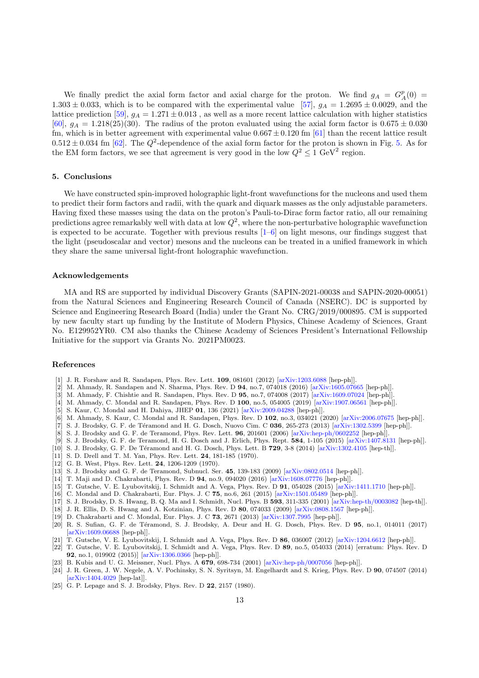<span id="page-12-0"></span>We finally predict the axial form factor and axial charge for the proton. We find  $g_A = G_A^p(0)$ 1.303  $\pm$  0.033, which is to be compared with the experimental value [\[57](#page-13-0)],  $g_A = 1.2695 \pm 0.0029$ , and the lattice prediction [\[59](#page-13-0)],  $g_A = 1.271 \pm 0.013$ , as well as a more recent lattice calculation with higher statistics [\[60](#page-13-0)],  $g_A = 1.218(25)(30)$ . The radius of the proton evaluated using the axial form factor is  $0.675 \pm 0.030$ fm, which is in better agreement with experimental value  $0.667 \pm 0.120$  fm [\[61](#page-13-0)] than the recent lattice result  $0.512 \pm 0.034$  fm [\[62](#page-13-0)]. The  $Q^2$ -dependence of the axial form factor for the proton is shown in Fig. [5.](#page-10-0) As for the EM form factors, we see that agreement is very good in the low  $Q^2 \leq 1 \text{ GeV}^2$  region.

## 5. Conclusions

We have constructed spin-improved holographic light-front wavefunctions for the nucleons and used them to predict their form factors and radii, with the quark and diquark masses as the only adjustable parameters. Having fixed these masses using the data on the proton's Pauli-to-Dirac form factor ratio, all our remaining predictions agree remarkably well with data at low  $Q^2$ , where the non-perturbative holographic wavefunction is expected to be accurate. Together with previous results  $[1-6]$  on light mesons, our findings suggest that the light (pseudoscalar and vector) mesons and the nucleons can be treated in a unified framework in which they share the same universal light-front holographic wavefunction.

## Acknowledgements

MA and RS are supported by individual Discovery Grants (SAPIN-2021-00038 and SAPIN-2020-00051) from the Natural Sciences and Engineering Research Council of Canada (NSERC). DC is supported by Science and Engineering Research Board (India) under the Grant No. CRG/2019/000895. CM is supported by new faculty start up funding by the Institute of Modern Physics, Chinese Academy of Sciences, Grant No. E129952YR0. CM also thanks the Chinese Academy of Sciences President's International Fellowship Initiative for the support via Grants No. 2021PM0023.

## References

- [1] J. R. Forshaw and R. Sandapen, Phys. Rev. Lett. 109, 081601 (2012) [\[arXiv:1203.6088](http://arxiv.org/abs/1203.6088) [hep-ph]].
- [2] M. Ahmady, R. Sandapen and N. Sharma, Phys. Rev. D 94, no.7, 074018 (2016) [\[arXiv:1605.07665](http://arxiv.org/abs/1605.07665) [hep-ph]].
- [3] M. Ahmady, F. Chishtie and R. Sandapen, Phys. Rev. D 95, no.7, 074008 (2017) [\[arXiv:1609.07024](http://arxiv.org/abs/1609.07024) [hep-ph]].
- [4] M. Ahmady, C. Mondal and R. Sandapen, Phys. Rev. D 100, no.5, 054005 (2019) [\[arXiv:1907.06561](http://arxiv.org/abs/1907.06561) [hep-ph]].<br>[5] S. Kaur, C. Mondal and H. Dahiya, JHEP 01, 136 (2021) [arXiv:2009.04288 [hep-ph]].
- [5] S. Kaur, C. Mondal and H. Dahiya, JHEP 01, 136 (2021) [\[arXiv:2009.04288](http://arxiv.org/abs/2009.04288) [hep-ph]].
- [6] M. Ahmady, S. Kaur, C. Mondal and R. Sandapen, Phys. Rev. D 102, no.3, 034021 (2020) [\[arXiv:2006.07675](http://arxiv.org/abs/2006.07675) [hep-ph]].
- [7] S. J. Brodsky, G. F. de Téramond and H. G. Dosch, Nuovo Cim. C 036, 265-273 (2013) [\[arXiv:1302.5399](http://arxiv.org/abs/1302.5399) [hep-ph]].
- [8] S. J. Brodsky and G. F. de Teramond, Phys. Rev. Lett. 96, 201601 (2006) [\[arXiv:hep-ph/0602252](http://arxiv.org/abs/hep-ph/0602252) [hep-ph]].
- [9] S. J. Brodsky, G. F. de Teramond, H. G. Dosch and J. Erlich, Phys. Rept. 584, 1-105 (2015) [\[arXiv:1407.8131](http://arxiv.org/abs/1407.8131) [hep-ph]].
- [10] S. J. Brodsky, G. F. De Téramond and H. G. Dosch, Phys. Lett. B 729, 3-8 (2014) [\[arXiv:1302.4105](http://arxiv.org/abs/1302.4105) [hep-th]].
- [11] S. D. Drell and T. M. Yan, Phys. Rev. Lett. 24, 181-185 (1970).
- [12] G. B. West, Phys. Rev. Lett. 24, 1206-1209 (1970).
- [13] S. J. Brodsky and G. F. de Teramond, Subnucl. Ser. 45, 139-183 (2009) [\[arXiv:0802.0514](http://arxiv.org/abs/0802.0514) [hep-ph]].
- [14] T. Maji and D. Chakrabarti, Phys. Rev. D 94, no.9, 094020 (2016) [\[arXiv:1608.07776](http://arxiv.org/abs/1608.07776) [hep-ph]].
- [15] T. Gutsche, V. E. Lyubovitskij, I. Schmidt and A. Vega, Phys. Rev. D 91, 054028 (2015) [\[arXiv:1411.1710](http://arxiv.org/abs/1411.1710) [hep-ph]].
- [16] C. Mondal and D. Chakrabarti, Eur. Phys. J. C **75**, no.6, 261 (2015) [\[arXiv:1501.05489](http://arxiv.org/abs/1501.05489) [hep-ph]].
- [17] S. J. Brodsky, D. S. Hwang, B. Q. Ma and I. Schmidt, Nucl. Phys. B 593, 311-335 (2001) [\[arXiv:hep-th/0003082](http://arxiv.org/abs/hep-th/0003082) [hep-th]].
- [18] J. R. Ellis, D. S. Hwang and A. Kotzinian, Phys. Rev. D 80, 074033 (2009) [\[arXiv:0808.1567](http://arxiv.org/abs/0808.1567) [hep-ph]].
- [19] D. Chakrabarti and C. Mondal, Eur. Phys. J. C 73, 2671 (2013) [\[arXiv:1307.7995](http://arxiv.org/abs/1307.7995) [hep-ph]].
- [20] R. S. Sufian, G. F. de Téramond, S. J. Brodsky, A. Deur and H. G. Dosch, Phys. Rev. D 95, no.1, 014011 (2017) [\[arXiv:1609.06688](http://arxiv.org/abs/1609.06688) [hep-ph]].
- [21] T. Gutsche, V. E. Lyubovitskij, I. Schmidt and A. Vega, Phys. Rev. D 86, 036007 (2012) [\[arXiv:1204.6612](http://arxiv.org/abs/1204.6612) [hep-ph]].
- [22] T. Gutsche, V. E. Lyubovitskij, I. Schmidt and A. Vega, Phys. Rev. D 89, no.5, 054033 (2014) [erratum: Phys. Rev. D 92, no.1, 019902 (2015)] [\[arXiv:1306.0366](http://arxiv.org/abs/1306.0366) [hep-ph]].
- [23] B. Kubis and U. G. Meissner, Nucl. Phys. A 679, 698-734 (2001) [\[arXiv:hep-ph/0007056](http://arxiv.org/abs/hep-ph/0007056) [hep-ph]].
- [24] J. R. Green, J. W. Negele, A. V. Pochinsky, S. N. Syritsyn, M. Engelhardt and S. Krieg, Phys. Rev. D 90, 074507 (2014) [\[arXiv:1404.4029](http://arxiv.org/abs/1404.4029) [hep-lat]].
- [25] G. P. Lepage and S. J. Brodsky, Phys. Rev. D 22, 2157 (1980).